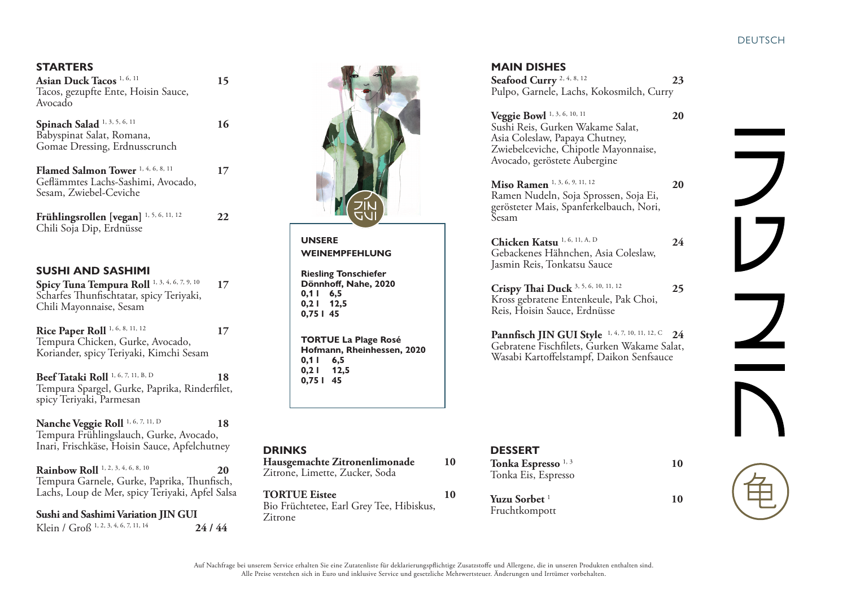## **STARTERS**

**Asian Duck Tacos** 1, 6, 11 **15** Tacos, gezupfte Ente, Hoisin Sauce, Avocado

**Spinach Salad** <sup>1, 3, 5, 6, 11</sup> 16 Babyspinat Salat, Romana, Gomae Dressing, Erdnusscrunch

**Flamed Salmon Tower** <sup>1, 4, 6, 8, 11</sup> 17 Geflämmtes Lachs-Sashimi, Avocado, Sesam, Zwiebel-Ceviche

**Frühlingsrollen [vegan]** 1, 5, 6, 11, 12 **22** Chili Soja Dip, Erdnüsse

# **SUSHI AND SASHIMI**

**Spicy Tuna Tempura Roll** 1, 3, 4, 6, 7, 9, 10 **17** Scharfes Thunfischtatar, spicy Teriyaki, Chili Mayonnaise, Sesam

**Rice Paper Roll** <sup>1, 6, 8, 11, 12</sup> 17 Tempura Chicken, Gurke, Avocado, Koriander, spicy Teriyaki, Kimchi Sesam

**Beef Tataki Roll** <sup>1, 6, 7, 11, B, D 18</sup> Tempura Spargel, Gurke, Paprika, Rinderfilet, spicy Teriyaki, Parmesan

**Nanche Veggie Roll** <sup>1, 6, 7, 11, D 18</sup> Tempura Frühlingslauch, Gurke, Avocado, Inari, Frischkäse, Hoisin Sauce, Apfelchutney

**Rainbow Roll** <sup>1, 2, 3, 4, 6, 8, 10</sup> 20 Tempura Garnele, Gurke, Paprika, Thunfisch, Lachs, Loup de Mer, spicy Teriyaki, Apfel Salsa

**Sushi and Sashimi Variation JIN GUI** Klein / Groß 1, 2, 3, 4, 6, 7, 11, 14 **24 / 44**



 **UNSERE WEINEMPFEHLUNG** 

 **Riesling Tonschiefer Dönnhoff, Nahe, 2020 0,1 l 6,5 0,2 l 12,5 0,75 l 45**

 **TORTUE La Plage Rosé** **Hofmann, Rheinhessen, 2020 0,1 l 6,5 0,2 l 12,5 0,75 l 45**

| <b>DRINKS</b><br>Hausgemachte Zitronenlimonade<br>Zitrone, Limette, Zucker, Soda | 10 | <b>DESSERT</b><br>Tonka Espresso <sup>1, 3</sup><br>Tonka Eis, Espresso | 10 |
|----------------------------------------------------------------------------------|----|-------------------------------------------------------------------------|----|
| <b>TORTUE Eistee</b><br>Bio Früchtetee, Earl Grey Tee, Hibiskus,<br>Zitrone      | 10 | Yuzu Sorbet <sup>1</sup><br>Fruchtkompott                               | 10 |

### **MAIN DISHES**

| Seafood Curry <sup>2, 4, 8, 12</sup>     | 23 |
|------------------------------------------|----|
| Pulpo, Garnele, Lachs, Kokosmilch, Curry |    |

**Veggie Bowl** 1, 3, 6, 10, 11 **20** Sushi Reis, Gurken Wakame Salat, Asia Coleslaw, Papaya Chutney, Zwiebelceviche, Chipotle Mayonnaise, Avocado, geröstete Aubergine

**Miso Ramen** <sup>1, 3, 6, 9, 11, 12 **20**</sup> Ramen Nudeln, Soja Sprossen, Soja Ei, gerösteter Mais, Spanferkelbauch, Nori, Sesam

**Chicken Katsu** <sup>1, 6, 11, A, D 24</sup> Gebackenes Hähnchen, Asia Coleslaw, Jasmin Reis, Tonkatsu Sauce

**Crispy Thai Duck** 3, 5, 6, 10, 11, 12 **25** Kross gebratene Entenkeule, Pak Choi, Reis, Hoisin Sauce, Erdnüsse

**Pannfisch JIN GUI Style** 1, 4, 7, 10, 11, 12, C **24** Gebratene Fischfilets, Gurken Wakame Salat, Wasabi Kartoffelstampf, Daikon Senfsauce